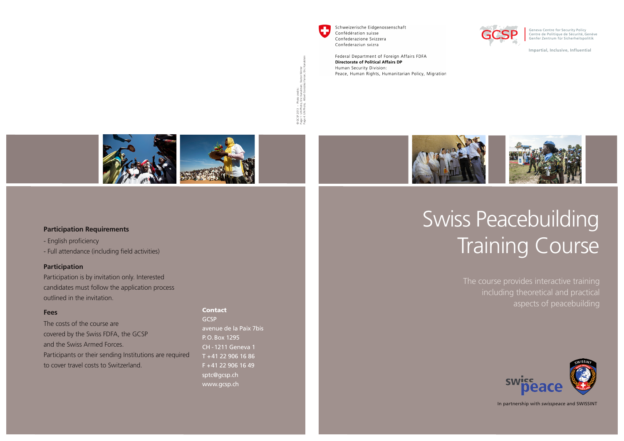

a GCSP 2013 – Photo credits :<br><sup>3</sup>age 1 : UN Photo, Eric Kanalisein; Staton Winter<br><sup>3</sup>age 4: UN Photo, Albert González Farran; Eric Kana GCSP 2013 – Photo credits : Page 1 : UN Photo, Eric Kanalstein; Staton Winter Page 4: UN Photo, Albert González Farran; Eric Kanalstein

Schweizerische Eidgenossenschaft Confédération suisse Confederazione Svizzera Confederaziun svizra

Federal Department of Foreign Affairs FDFA **Directorate of Political Affairs DP** Human Security Division: Peace, Human Rights, Humanitarian Policy, Migration



Geneva Centre for Security Policy Centre de Politique de Sécurité, Genève Genfer Zentrum für Sicherheitspolitik

**Impartial, Inclusive, Influential**





#### **Participation Requirements**

- English proficiency

- Full attendance (including field activities)

#### **Participation**

Participation is by invitation only. Interested candidates must follow the application process outlined in the invitation.

#### **Fees**

The costs of the course are covered by the Swiss FDFA, the GCSP and the Swiss Armed Forces. Participants or their sending Institutions are required to cover travel costs to Switzerland.

GCSP avenue de la Paix 7bis P.O.Box 1295 CH -1211 Geneva 1 T +41 22 906 16 86 F +41 22 906 16 49 sptc@gcsp.ch www.gcsp.ch

Contact

# Swiss Peacebuilding Training Course

including theoretical and practical aspects of peacebuilding



In partnership with *swisspeace* and SWISSINT